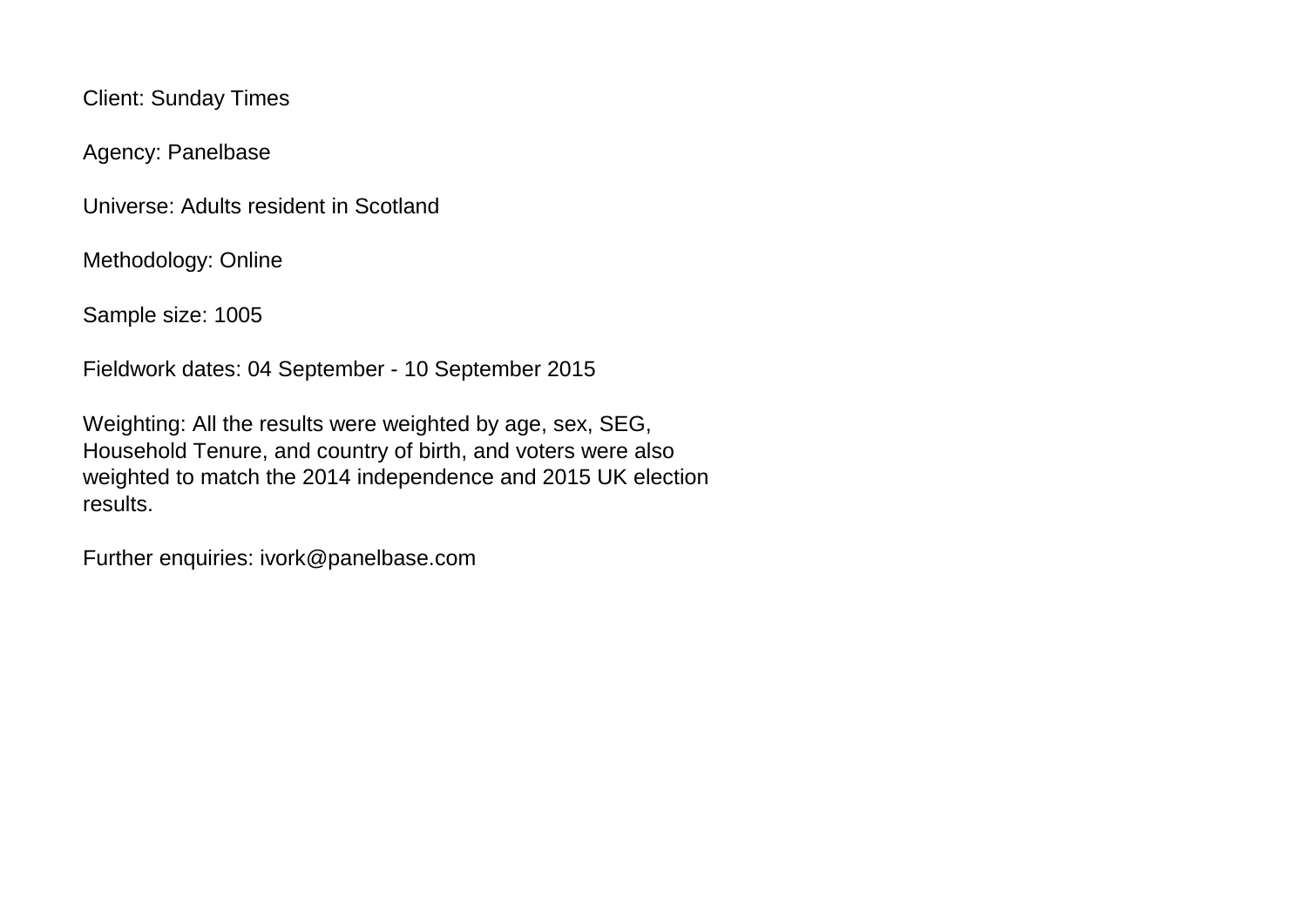Client: Sunday Times

Agency: Panelbase

Universe: Adults resident in Scotland

Methodology: Online

Sample size: 1005

Fieldwork dates: 04 September - 10 September 2015

Weighting: All the results were weighted by age, sex, SEG, Household Tenure, and country of birth, and voters were also weighted to match the 2014 independence and 2015 UK election results.

Further enquiries: ivork@panelbase.com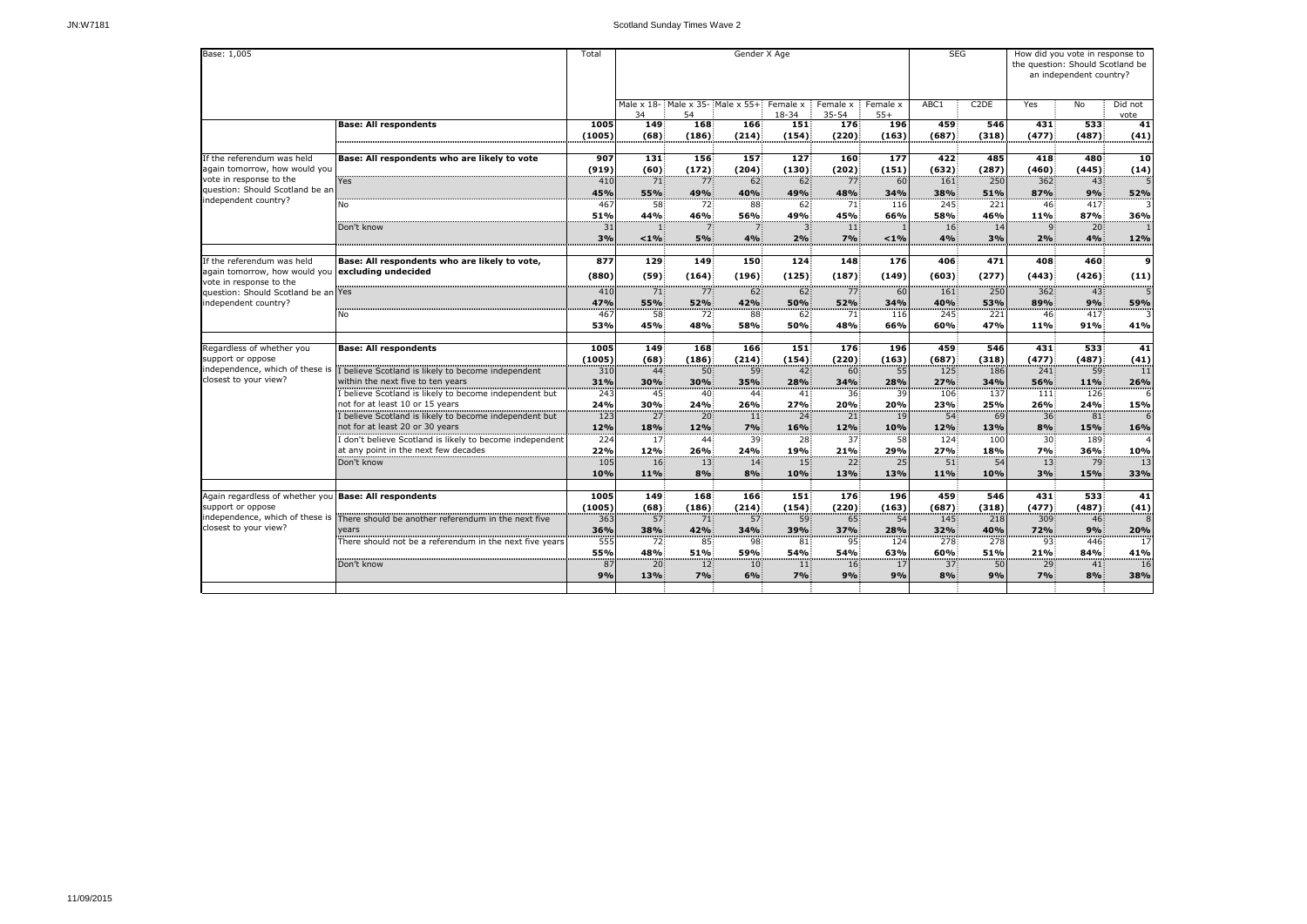| Base: 1,005                                                                                                       |                                                                                                                                     |                       |                                                  | Gender X Age                           |                        |                                      |                                 |                     |                               |                     | How did you vote in response to<br>the question: Should Scotland be<br>an independent country? |                               |                            |  |
|-------------------------------------------------------------------------------------------------------------------|-------------------------------------------------------------------------------------------------------------------------------------|-----------------------|--------------------------------------------------|----------------------------------------|------------------------|--------------------------------------|---------------------------------|---------------------|-------------------------------|---------------------|------------------------------------------------------------------------------------------------|-------------------------------|----------------------------|--|
|                                                                                                                   |                                                                                                                                     |                       | 34                                               | Male x 18- Male x 35- Male x 55+<br>54 |                        | Female x<br>18-34                    | Female x<br>$35 - 54$           | Female x<br>$55+$   | ABC1                          | C <sub>2</sub> DE   | Yes                                                                                            | No                            | Did not<br>vote            |  |
|                                                                                                                   | <b>Base: All respondents</b>                                                                                                        | 1005<br>(1005)        | 149<br>(68)                                      | 168<br>(186)                           | 166<br>(214)           | 151<br>(154)                         | 176<br>(220)                    | <b>196</b><br>(163) | 459<br>(687)                  | 546<br>(318)        | 431<br>(477)                                                                                   | 533<br>(487)                  | $\overline{41}$<br>(41)    |  |
| If the referendum was held<br>again tomorrow, how would you                                                       | Base: All respondents who are likely to vote                                                                                        | 907<br>(919)          | 131<br>(60)                                      | 156<br>(172)                           | 157<br>(204)           | 127<br>(130)                         | 160<br>(202)                    | 177<br>(151)        | 422<br>(632)                  | 485<br>(287)        | 418<br>(460)                                                                                   | 480<br>(445)                  | 10<br>(14)                 |  |
| vote in response to the<br>question: Should Scotland be an<br>independent country?                                | <b>Yes</b>                                                                                                                          | 410<br>45%            | 71<br>55%                                        | 77<br>49%                              | 62<br>40%              | 62<br>49%                            | 77<br>48%                       | 60<br>34%           | 161<br>38%                    | 250<br>51%          | 362<br>87%                                                                                     | 43<br>9%                      | 52%                        |  |
|                                                                                                                   | No<br>Don't know                                                                                                                    | 467<br>51%<br>31      | 58<br>44%                                        | 72<br>46%<br>$\overline{7}$            | 88<br>56%              | 62<br>49%<br>3                       | 71<br>45%<br>11 <sup>3</sup>    | 116<br>66%          | 245<br>58%<br>16 <sup>2</sup> | 221<br>46%<br>14    | 46<br>11%<br>$\mathsf{q}$                                                                      | 417<br>87%<br>20 <sup>2</sup> | 3<br>36%                   |  |
|                                                                                                                   |                                                                                                                                     | 3%                    | < 1%                                             | 5%                                     | 4%                     | 2%                                   | 7%                              | $< 1\%$             | 4%                            | 3%                  | 2%                                                                                             | 4%                            | 12%                        |  |
| If the referendum was held<br>again tomorrow, how would you <b>excluding undecided</b><br>vote in response to the | Base: All respondents who are likely to vote,                                                                                       | 877<br>(880)          | 129<br>(59)                                      | 149<br>(164)                           | 150<br>(196)           | 124<br>(125)                         | 148<br>(187)                    | 176<br>(149)        | 406<br>(603)                  | 471<br>(277)        | 408<br>(443)                                                                                   | 460<br>(426)                  | $\overline{9}$<br>(11)     |  |
| question: Should Scotland be an Yes<br>independent country?                                                       | No                                                                                                                                  | 410<br>47%<br>467     | 71 <sup>3</sup><br><b>55%</b><br>58 <sup>1</sup> | 77.<br>52%<br>72                       | 62:<br>42%<br>88       | 62 <sup>2</sup><br><b>50%</b><br>62: | 77<br>52%<br>71.                | 60<br>34%<br>116    | 161<br>40%<br>245             | 250<br>53%<br>221   | 362<br>89%<br>46 <sup>3</sup>                                                                  | 43<br>9%<br>417               | $\overline{5}$<br>59%<br>3 |  |
|                                                                                                                   |                                                                                                                                     | 53%                   | 45%                                              | 48%                                    | 58%                    | <b>50%</b>                           | 48%                             | 66%                 | 60%                           | 47%                 | 11%                                                                                            | 91%                           | 41%                        |  |
| Regardless of whether you<br>support or oppose<br>independence, which of these is                                 | <b>Base: All respondents</b><br>I believe Scotland is likely to become independent                                                  | 1005<br>(1005)<br>310 | 149<br>(68)<br>44                                | 168<br>(186)<br>50 <sub>5</sub>        | 166<br>(214)<br>59     | 151<br>(154)<br>42 <sup>3</sup>      | 176<br>(220)<br>60 <sub>5</sub> | 196<br>(163)<br>55  | 459<br>(687)<br>125           | 546<br>(318)<br>186 | 431<br>(477)<br>241                                                                            | 533<br>(487)<br>59            | 41<br>(41)<br>11           |  |
| closest to your view?                                                                                             | within the next five to ten years<br>I believe Scotland is likely to become independent but                                         | 31%<br>243            | 30%<br>45                                        | 30%<br>40                              | 35%<br>44              | 28%<br>41                            | 34%<br>36 <sup>2</sup>          | 28%<br>39           | 27%<br>106                    | 34%<br>137          | 56%<br>111                                                                                     | 11%<br>126                    | 26%<br>6                   |  |
|                                                                                                                   | not for at least 10 or 15 years<br>believe Scotland is likely to become independent but                                             | 24%<br>123            | 30%<br>27 <sup>1</sup>                           | 24%<br>20 <sup>3</sup>                 | 26%<br><b>11</b>       | 27%<br>$24^{\circ}$                  | 20%<br>21                       | 20%<br>19           | 23%<br>54 <sup>3</sup>        | 25%<br>69           | 26%<br>36 <sub>1</sub>                                                                         | 24%<br>81 <sup>3</sup>        | 15%<br>6                   |  |
|                                                                                                                   | not for at least 20 or 30 years<br>I don't believe Scotland is likely to become independent<br>at any point in the next few decades | 12%<br>224<br>22%     | 18%<br>17 <sub>1</sub><br><b>12%</b>             | 12%<br>44<br>26%                       | 7%<br>39<br>24%        | 16%<br>28<br>19%                     | 12%<br>37.<br>21%               | 10%<br>58<br>29%    | 12%<br>124<br>27%             | 13%<br>100<br>18%   | 8%<br>30 <sub>1</sub><br>7%                                                                    | 15%<br>189<br>36%             | 16%<br>10%                 |  |
|                                                                                                                   | Don't know                                                                                                                          | 105<br>10%            | <b>16</b><br>11%                                 | 13 <sup>3</sup><br>8%                  | 14 <sup>1</sup><br>8%  | 15 <sub>1</sub><br>10%               | 22 <sub>5</sub><br>13%          | 25<br>13%           | 51<br><b>11%</b>              | 54<br><b>10%</b>    | 13 <sup>1</sup><br>3%                                                                          | -79<br>15%                    | 13<br>33%                  |  |
| Again regardless of whether you   Base: All respondents<br>support or oppose                                      |                                                                                                                                     | 1005<br>(1005)        | 149<br>(68)                                      | 168<br>(186)                           | <b>166</b><br>(214)    | 151<br>(154)                         | 176<br>(220)                    | 196<br>(163)        | 459<br>(687)                  | 546<br>(318)        | 431<br>(477)                                                                                   | 533<br>(487)                  | 41<br>(41)                 |  |
| closest to your view?                                                                                             | independence, which of these is There should be another referendum in the next five<br>vears                                        | 363<br>36%            | 57<br><b>38%</b>                                 | 71<br>42%                              | 57 <sub>1</sub><br>34% | 59<br>39%                            | 65<br>37%                       | 54<br>28%           | 145<br>32%                    | 218<br>40%          | 309<br><b>72%</b>                                                                              | 46 <sup>3</sup><br>9%         | 8<br>20%                   |  |
|                                                                                                                   | There should not be a referendum in the next five years                                                                             | 555<br>55%            | 72.<br>48%                                       | 85.<br>51%                             | 98<br>59%              | 81<br><b>54%</b>                     | 95:<br><b>54%</b>               | 124<br>63%          | 278<br>60%                    | 278<br>51%          | 93<br>21%                                                                                      | 446<br>84%                    | 17<br>41%                  |  |
|                                                                                                                   | Don't know                                                                                                                          | 87<br>9%              | 20 <sub>1</sub><br>13%                           | 12 <sup>2</sup><br>7%                  | $ 10\rangle$<br>6%     | $ 11\rangle$<br>7%                   | 16 <sup>3</sup><br>9%           | 17<br>9%            | 37 <sup>1</sup><br>8%         | 50<br>9%            | 29<br>7%                                                                                       | 41<br>8%                      | 16<br>38%                  |  |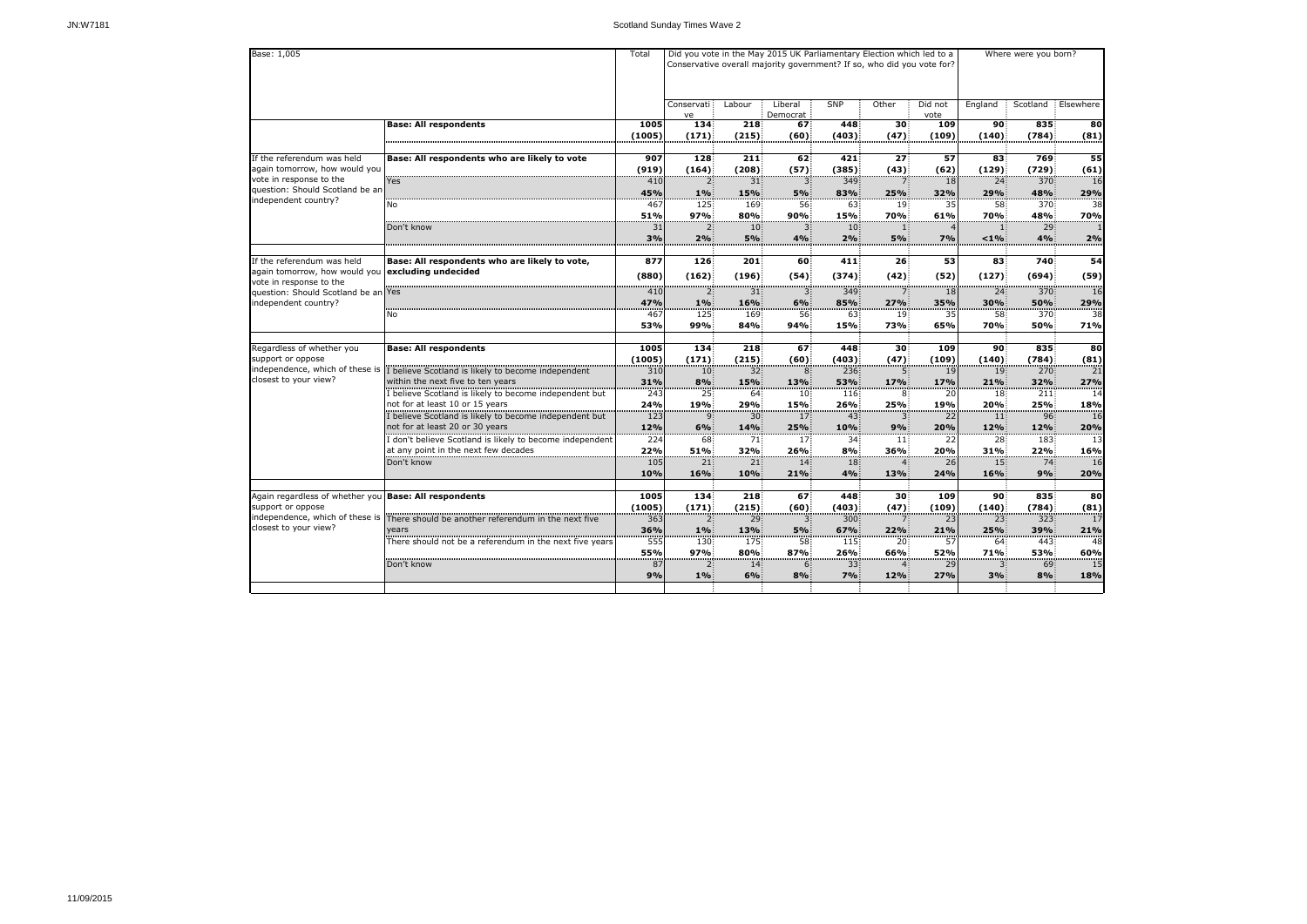| Base: 1,005                                                                                                                                                                      |                                                                                                                                                     |                         |                               |                              | Did you vote in the May 2015 UK Parliamentary Election which led to a<br>Conservative overall majority government? If so, who did you vote for? |                              | Where were you born?    |                    |                               |                               |                   |  |
|----------------------------------------------------------------------------------------------------------------------------------------------------------------------------------|-----------------------------------------------------------------------------------------------------------------------------------------------------|-------------------------|-------------------------------|------------------------------|-------------------------------------------------------------------------------------------------------------------------------------------------|------------------------------|-------------------------|--------------------|-------------------------------|-------------------------------|-------------------|--|
|                                                                                                                                                                                  |                                                                                                                                                     |                         | Conservati<br>ve              | Labour                       | Liberal<br>Democrat                                                                                                                             | SNP                          | Other                   | Did not<br>vote    | England                       | Scotland                      | Elsewhere         |  |
|                                                                                                                                                                                  | <b>Base: All respondents</b>                                                                                                                        | 1005<br>(1005)          | 134<br>(171)                  | 218<br>(215)                 | 67<br>(60)                                                                                                                                      | 448<br>(403)                 | 30 <sup>3</sup><br>(47) | 109<br>(109)       | 90<br>(140)                   | 835<br>(784)                  | 80<br>(81)        |  |
| If the referendum was held<br>again tomorrow, how would you                                                                                                                      | Base: All respondents who are likely to vote                                                                                                        | 907<br>(919)            | 128<br>(164)                  | 211<br>(208)                 | 62 <sup>3</sup><br>(57)                                                                                                                         | 421<br>(385)                 | 27 <sup>3</sup><br>(43) | 57<br>(62)         | 83<br>(129)                   | 769<br>(729)                  | 55<br>(61)        |  |
| vote in response to the<br>question: Should Scotland be an                                                                                                                       | <b>Yes</b>                                                                                                                                          | 410<br>45%              | $\mathbf{2}$<br>1%            | 31<br>15%                    | 3 <sup>1</sup><br>5%                                                                                                                            | 349<br>83%                   | 7.<br>25%               | 18<br>32%          | 24<br>29%                     | 370<br>48%                    | 16<br>29%         |  |
| independent country?                                                                                                                                                             | No                                                                                                                                                  | 467<br>51%              | 125<br>97%                    | 169<br>80%                   | 56<br>90%                                                                                                                                       | 63.<br>15%                   | 19<br><b>70%</b>        | 35<br>61%          | 58<br><b>70%</b>              | 370<br>48%                    | 38<br><b>70%</b>  |  |
|                                                                                                                                                                                  | Don't know                                                                                                                                          | 31<br>3%                | 2%                            | 10 <sup>3</sup><br>5%        | 3.<br>4%                                                                                                                                        | 10 <sup>1</sup><br>2%        | 11<br>5%                | 7%                 | < 1%                          | 29<br>4%                      | 2%                |  |
| If the referendum was held<br>again tomorrow, how would you <b>excluding undecided</b><br>vote in response to the<br>question: Should Scotland be an Yes<br>independent country? | Base: All respondents who are likely to vote,                                                                                                       | 877<br>(880)            | 126<br>(162)                  | 201<br>(196)                 | 60<br>(54)                                                                                                                                      | 411<br>(374)                 | 26 <sup>2</sup><br>(42) | 53<br>(52)         | 83<br>(127)                   | 740<br>(694)                  | 54<br>(59)        |  |
|                                                                                                                                                                                  |                                                                                                                                                     | 410<br>47%              | $\mathbf{2}$<br>1%            | 31 <sup>2</sup><br>16%       | 3<br>6%                                                                                                                                         | 349<br>85%                   | 7.<br>27%               | <b>18</b><br>35%   | 24 <sup>3</sup><br>30%        | 370<br>50%                    | 16<br>29%         |  |
|                                                                                                                                                                                  | No                                                                                                                                                  | 467<br>53%              | 125<br>99%                    | 169<br>84%                   | 56<br>94%                                                                                                                                       | 63<br><b>15%</b>             | 19<br><b>73%</b>        | 35<br>65%          | 58 <sup>3</sup><br><b>70%</b> | 370<br><b>50%</b>             | 38<br>71%         |  |
| Regardless of whether you<br>support or oppose                                                                                                                                   | <b>Base: All respondents</b>                                                                                                                        | 1005<br>(1005)          | 134<br>(171)                  | 218<br>(215)                 | 67<br>(60)                                                                                                                                      | 448<br>(403)                 | 30 <sub>5</sub><br>(47) | 109<br>(109)       | 90 <sub>1</sub><br>(140)      | 835<br>(784)                  | 80<br>(81)        |  |
| independence, which of these is $\mathbf{I}$<br>closest to your view?                                                                                                            | believe Scotland is likely to become independent<br>within the next five to ten years                                                               | 310<br>31%              | 10 <sup>3</sup><br>8%         | 32<br>15%                    | 8<br>13%                                                                                                                                        | 236<br><b>53%</b>            | 5.<br>17%               | 19<br>17%          | 19<br>21%                     | 270<br>32%                    | 21<br>27%         |  |
|                                                                                                                                                                                  | I believe Scotland is likely to become independent but<br>not for at least 10 or 15 years                                                           | 243<br>24%              | 25 <sub>1</sub><br>19%        | 64<br>29%                    | 10 <sub>1</sub><br>15%                                                                                                                          | 116:<br>26%                  | 8<br>25%                | 20<br>19%          | 18 <sup>2</sup><br>20%        | 211<br>25%                    | 14<br>18%         |  |
|                                                                                                                                                                                  | I believe Scotland is likely to become independent but<br>not for at least 20 or 30 years<br>don't believe Scotland is likely to become independent | 123<br>12%<br>224       | 9.<br>6%<br>68                | 30 <sup>3</sup><br>14%<br>71 | 17 <sup>1</sup><br><b>25%</b><br>17 <sup>3</sup>                                                                                                | 43<br>10%<br>34 <sup>3</sup> | 3.<br>9%<br>11          | 22<br>20%<br>22    | 11 <sub>1</sub><br>12%<br>28  | 96 <sup>3</sup><br>12%<br>183 | 16<br>20%<br>13   |  |
|                                                                                                                                                                                  | at any point in the next few decades<br>Don't know                                                                                                  | 22%<br>105<br>10%       | 51%<br>21 <sup>3</sup><br>16% | 32%<br>21<br>10%             | 26%<br>14 <sub>1</sub><br>21%                                                                                                                   | 8%<br>18 <sub>1</sub><br>4%  | <b>36%</b><br>13%       | 20%<br>26<br>24%   | 31%<br>15 <sup>3</sup><br>16% | 22%<br>74 <sup>3</sup><br>9%  | 16%<br>16<br>20%  |  |
| Again regardless of whether you Base: All respondents                                                                                                                            |                                                                                                                                                     | 1005                    | 134                           | 218                          | 67                                                                                                                                              | 448                          | 30 <sup>2</sup>         | 109                | 90                            | 835                           | 80                |  |
| support or oppose<br>closest to your view?                                                                                                                                       | independence, which of these is There should be another referendum in the next five<br>years                                                        | (1005)<br>363<br>36%    | (171)<br>2 <sub>1</sub><br>1% | (215)<br>29<br>13%           | (60)<br>3.<br>5%                                                                                                                                | (403)<br>300<br>67%          | (47)<br>7.<br>22%       | (109)<br>23<br>21% | (140)<br>23:<br>25%           | (784)<br>323<br>39%           | (81)<br>17<br>21% |  |
|                                                                                                                                                                                  | There should not be a referendum in the next five years                                                                                             | $\overline{555}$<br>55% | 130<br>97%                    | 175<br>80%                   | 58<br>87%                                                                                                                                       | 115<br>26%                   | 20 <sup>2</sup><br>66%  | 57<br>52%          | 64<br>71%                     | 443<br>53%                    | 48<br>60%         |  |
|                                                                                                                                                                                  | Don't know                                                                                                                                          | 87<br>9%                | 2<br>1%                       | 14<br>6%                     | 61<br>8%                                                                                                                                        | 33 <sub>1</sub><br>7%        | 12%                     | 29<br>27%          | 3.<br>3%                      | 69<br>8%                      | 15<br>18%         |  |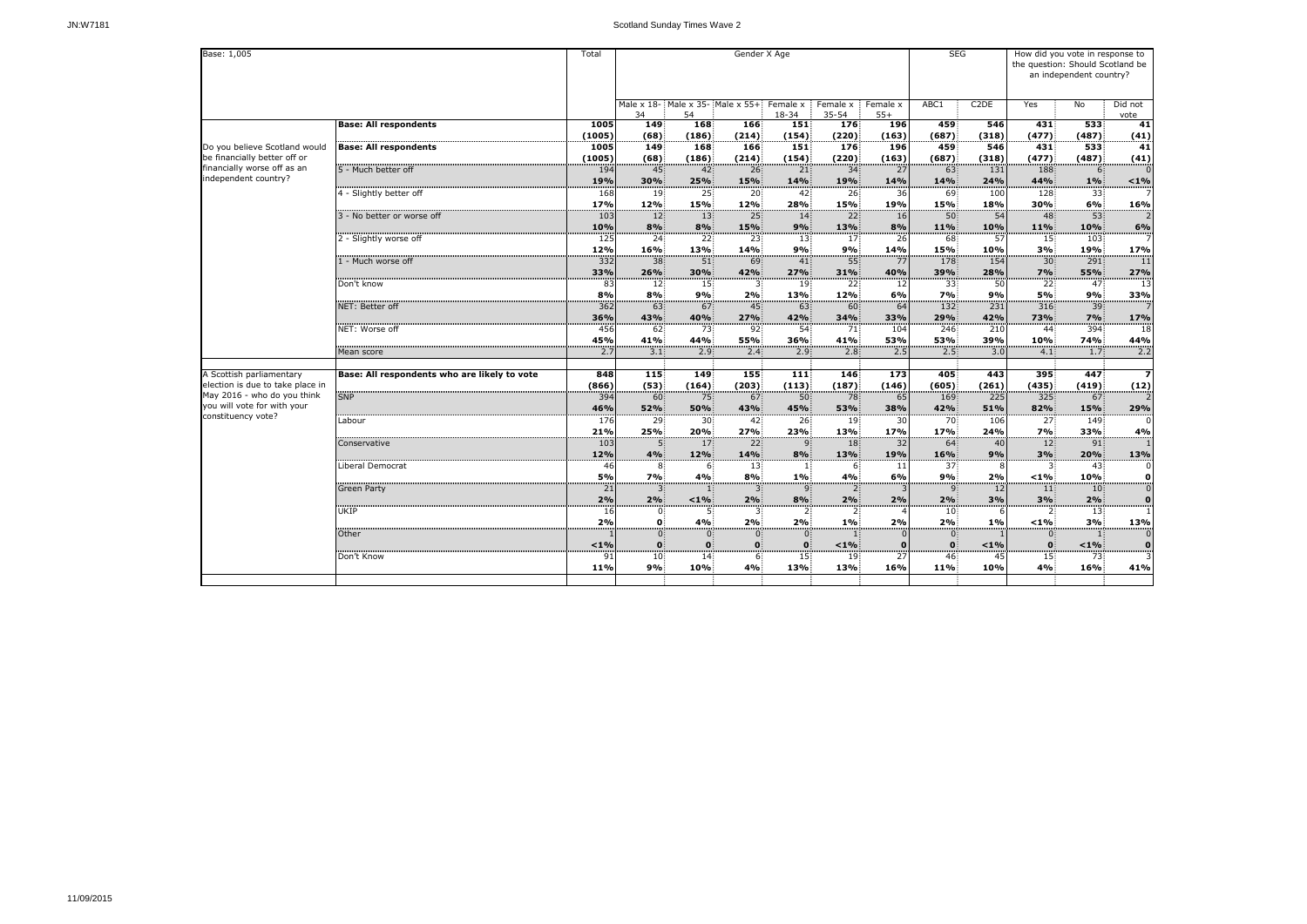| Base: 1,005                                                   |                                              | Total             |                                                 |                        |                        | Gender X Age                     |                           |                               | <b>SEG</b>                     | How did you vote in response to<br>the question: Should Scotland be<br>an independent country? |                       |                        |                                 |  |
|---------------------------------------------------------------|----------------------------------------------|-------------------|-------------------------------------------------|------------------------|------------------------|----------------------------------|---------------------------|-------------------------------|--------------------------------|------------------------------------------------------------------------------------------------|-----------------------|------------------------|---------------------------------|--|
|                                                               |                                              |                   | Male x 18- Male x 35- Male x 55+ Female x<br>34 | 54                     |                        | $18 - 34$                        | Female x<br>$35 - 54$     | Female x<br>$55+$             | ABC1                           | C <sub>2</sub> DE                                                                              | Yes                   | No                     | Did not<br>vote                 |  |
|                                                               | <b>Base: All respondents</b>                 | 1005<br>(1005)    | 149<br>(68)                                     | 168<br>(186)           | 166<br>(214)           | 151<br>(154)                     | 176<br>(220)              | <b>196</b><br>(163)           | 459<br>(687)                   | 546<br>(318)                                                                                   | 431<br>(477)          | 533<br>(487)           | 41<br>(41)                      |  |
| Do you believe Scotland would<br>be financially better off or | <b>Base: All respondents</b>                 | 1005<br>(1005)    | 149<br>(68)                                     | 168<br>(186)           | 166<br>(214)           | 151<br>(154)                     | 176<br>(220)              | 196<br>(163)                  | 459<br>(687)                   | 546<br>(318)                                                                                   | 431<br>(477)          | 533<br>(487)           | 41<br>(41)                      |  |
| financially worse off as an<br>independent country?           | 5 - Much better off                          | 194<br>19%        | 45 <sup>3</sup><br>30%                          | 42<br>25%              | 26<br>15%              | 21<br>14%                        | 34<br>19%                 | 27<br>14%                     | 63<br>14%                      | 131<br>24%                                                                                     | 188<br>44%            | 6<br>1%                | $< 1\%$                         |  |
|                                                               | 4 - Slightly better off                      | 168<br>17%        | 19 <sup>3</sup><br>12%                          | 25<br>15%              | 20:<br>12%             | 42 <sup>3</sup><br>28%           | 26<br>15%                 | 36<br>19%                     | 69<br>15%                      | 100<br>18%                                                                                     | 128<br>30%            | 33 <sup>3</sup><br>6%  | -7<br>16%                       |  |
|                                                               | 3 - No better or worse off                   | 103<br>10%        | 12 <sub>1</sub><br>8%                           | 13<br>8%               | 25 <sub>1</sub><br>15% | 14 <sup>3</sup><br>9%            | 22 <sup>3</sup><br>13%    | 16<br>8%                      | 50 <sup>1</sup><br>11%         | 54<br>10%                                                                                      | 48<br><b>11%</b>      | 53<br>10%              | $\overline{2}$<br>6%            |  |
|                                                               | 2 - Slightly worse off                       | 125<br>12%        | 24 <sup>2</sup><br>16%                          | 22<br>13%              | 23:<br>14%             | 13 <sup>2</sup><br>9%            | 17 <sup>1</sup><br>9%     | 26<br>14%                     | 68<br>15%                      | 57<br>10%                                                                                      | 15 <sub>1</sub><br>3% | 103<br>19%             | $\overline{7}$<br>17%           |  |
|                                                               | 1 - Much worse off                           | 332<br>33%        | 38 <sup>3</sup><br>26%                          | 51<br>30%              | 69<br>42%              | 41<br>27%                        | 55<br>31%                 | 77<br>40%                     | 178<br>39%                     | 154<br>28%                                                                                     | 30 <sup>2</sup><br>7% | 291<br>55%             | 11<br>27%                       |  |
|                                                               | Don't know                                   | 83<br>8%          | 12 <sup>2</sup><br>8%                           | 15 <sup>2</sup><br>9%  | 2%                     | 19 <sup>3</sup><br>13%           | $22^{\frac{1}{2}}$<br>12% | -12<br>6%                     | 33 <sup>3</sup><br>7%          | 50<br>9%                                                                                       | 22:<br>5%             | 47<br>9%               | 13<br>33%                       |  |
|                                                               | NET: Better off                              | 362               | 63                                              | 67                     | 45                     | 63                               | 60 <sup>3</sup>           | 64                            | 132                            | 231                                                                                            | 316                   | 39 <sup>1</sup>        | 7                               |  |
|                                                               | NET: Worse off                               | 36%<br>456        | 43%<br>62                                       | 40%<br>73              | 27%<br>92              | 42%<br>54                        | 34%<br>71                 | 33%<br>104                    | 29%<br>246                     | 42%<br>210                                                                                     | <b>73%</b><br>44      | 7%<br>394              | 17%<br>18                       |  |
|                                                               | Mean score                                   | 45%<br>2.7        | 41%<br>3.1                                      | 44%<br>2.9             | <b>55%</b><br>2.4      | 36%<br>2.9                       | 41%<br>2.8 <sup>1</sup>   | 53%<br>2.5                    | <b>53%</b><br>2.5              | 39%<br>3.0                                                                                     | 10%<br>4.1            | 74%<br>1.7             | 44%<br>2.2                      |  |
| A Scottish parliamentary<br>election is due to take place in  | Base: All respondents who are likely to vote | 848<br>(866)      | 115<br>(53)                                     | 149<br>(164)           | 155<br>(203)           | 111<br>(113)                     | 146<br>(187)              | 173<br>(146)                  | 405<br>(605)                   | 443<br>(261)                                                                                   | 395<br>(435)          | 447<br>(419)           | $\overline{\mathbf{z}}$<br>(12) |  |
| May 2016 - who do you think<br>you will vote for with your    | <b>SNP</b>                                   | 394<br>46%        | 60<br>52%                                       | 75<br>50%              | 67 <sup>3</sup><br>43% | 50 <sup>1</sup><br>45%           | 78<br>53%                 | 65<br>38%                     | 169<br>42%                     | $\overline{225}$<br>51%                                                                        | 325<br>82%            | 67 <sup>3</sup><br>15% | $\overline{2}$<br>29%           |  |
| constituency vote?                                            | Labour                                       | 176<br>21%        | 29<br>25%                                       | 30 <sup>°</sup><br>20% | 42<br>27%              | 26 <sup>2</sup><br>23%           | 19<br>13%                 | 30<br>17%                     | 70<br>17%                      | 106<br>24%                                                                                     | 27 <sup>2</sup><br>7% | 149<br>33%             | $\mathbf 0$<br>4%               |  |
|                                                               | Conservative                                 | <b>103</b><br>12% | $\mathbf{D}$<br>4%                              | 17.<br>12%             | <b>22</b><br>14%       | 9.<br>8%                         | 18.<br>13%                | 32 J<br>19%                   | 64<br>16%                      | <sup>40</sup><br>9%                                                                            | 12:<br>3%             | 91:<br>20%             | 13%                             |  |
|                                                               | Liberal Democrat                             | 46<br><b>5%</b>   | 8<br>7%                                         | 6<br>4%                | 13 <sub>1</sub><br>8%  | $1\%$                            | 6:<br>4%                  | -11<br>6%                     | 37 <sup>1</sup><br>9%          | 8<br>2%                                                                                        | 3.<br>$< 1\%$         | 43<br><b>10%</b>       | 0<br>$\boldsymbol{0}$           |  |
|                                                               | <b>Green Party</b>                           | 21<br>2%          | 3 <sup>1</sup><br>2%                            | $< 1\%$                | $\mathbf{3}$<br>2%     | 9 <sup>°</sup><br>8%             | 2 <sup>1</sup><br>2%      | $\overline{\mathsf{3}}$<br>2% | 9 <sub>1</sub><br>2%           | 12<br>3%                                                                                       | 11<br>3%              | 10<br>2%               | $\overline{0}$<br>$\bf{0}$      |  |
|                                                               | UKIP                                         | 16<br>2%          | $\mathbf{0}$<br>$\mathbf{0}$                    | 5.<br>4%               | 3 <sup>2</sup><br>2%   | $\overline{2}$<br>2%             | 2:<br>1%                  | 2%                            | 10 <sup>1</sup><br>2%          | $1\%$                                                                                          | $2 -$<br>$< 1\%$      | 13:<br>3%              | $\mathbf{1}$<br>13%             |  |
|                                                               | Other                                        |                   | $\mathbf{0}$                                    | $\mathbf{0}$           | $\overline{0}$         | $\mathbf{0}$                     |                           |                               | $\overline{0}$<br>$\mathbf{0}$ |                                                                                                | $\overline{0}$        |                        | $\boldsymbol{0}$                |  |
|                                                               | Don't Know                                   | < 1%<br>91<br>11% | $\mathbf{0}$<br>10 <sup>1</sup><br>9%           | 14<br><b>10%</b>       | 4%                     | $\mathbf{0}$<br>15<br><b>13%</b> | $< 1\%$<br>19<br>13%      | 27<br>16%                     | 46<br><b>11%</b>               | $< 1\%$<br>45<br>10%                                                                           | 15 <sup>1</sup><br>4% | $< 1\%$<br>73<br>16%   | $\bf{0}$<br>41%                 |  |
|                                                               |                                              |                   |                                                 |                        |                        |                                  |                           |                               |                                |                                                                                                |                       |                        |                                 |  |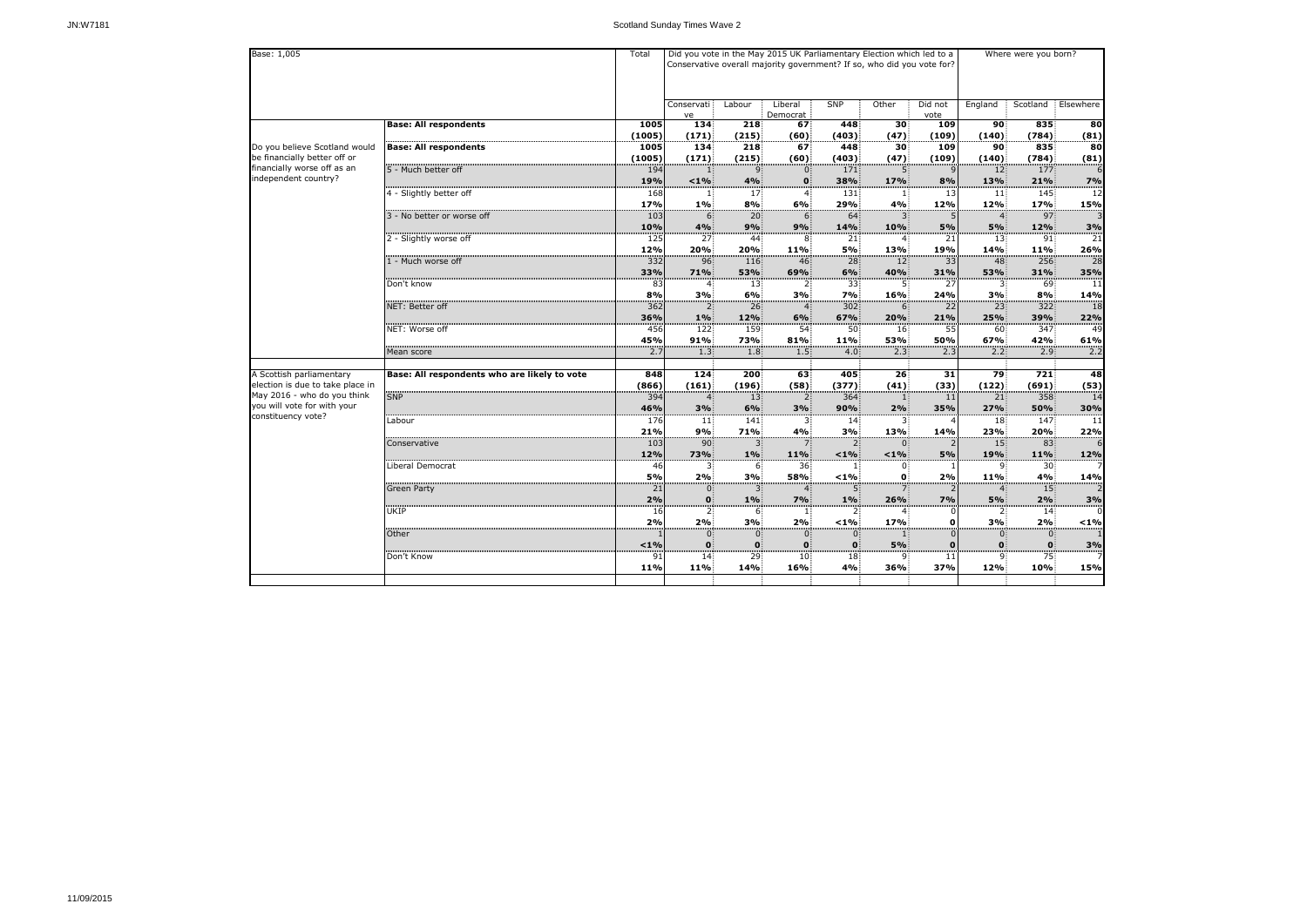| Base: 1,005                                                     |                                              | Total            |                             |                       | Did you vote in the May 2015 UK Parliamentary Election which led to a<br>Conservative overall majority government? If so, who did you vote for? |                           | Where were you born?       |                 |                        |                               |                 |
|-----------------------------------------------------------------|----------------------------------------------|------------------|-----------------------------|-----------------------|-------------------------------------------------------------------------------------------------------------------------------------------------|---------------------------|----------------------------|-----------------|------------------------|-------------------------------|-----------------|
|                                                                 |                                              |                  | Conservati<br>ve            | Labour                | Liberal<br>Democrat                                                                                                                             | <b>SNP</b>                | Other                      | Did not<br>vote | England                | Scotland                      | Elsewhere       |
|                                                                 | <b>Base: All respondents</b>                 | 1005             | 134                         | 218                   | 67                                                                                                                                              | 448                       | 30 <sup>°</sup>            | 109             | 90                     | 835                           | 80              |
| Do you believe Scotland would                                   | <b>Base: All respondents</b>                 | (1005)<br>1005   | (171)<br>134                | (215)<br>218          | (60)<br>67                                                                                                                                      | (403)<br>448              | (47)<br>30 <sub>3</sub>    | (109)<br>109    | (140)<br>90            | (784)<br>835                  | (81)<br>80      |
| be financially better off or                                    |                                              | (1005)           | (171)                       | (215)                 | (60)                                                                                                                                            | (403)                     | (47)                       | (109)           | (140)                  | (784)                         | (81)            |
| financially worse off as an<br>independent country?             | 5 - Much better off                          | 194              | 1                           | 9                     | $\mathbf{0}$                                                                                                                                    | 171                       | 5.                         |                 | 12                     | 177                           | 6               |
|                                                                 | 4 - Slightly better off                      | 19%<br>168       | $1\%$                       | 4%<br>17              | $\mathbf{0}$<br>4                                                                                                                               | 38%<br>131.               | <b>17%</b><br>$\mathbf{1}$ | 8%<br>13        | 13%<br>11              | 21%<br>145                    | 7%<br>12        |
|                                                                 |                                              | 17%              | $1\%$                       | 8%                    | 6%                                                                                                                                              | 29%                       | 4%                         | 12%             | 12%                    | 17%                           | 15%             |
|                                                                 | 3 - No better or worse off                   | 103              | 6 <sup>1</sup>              | 20 <sub>1</sub>       | 6                                                                                                                                               | 64 <sup>°</sup>           | $3^{\circ}$                |                 | $\overline{4}$         | 97:                           | 3               |
|                                                                 |                                              | 10%              | 4%                          | 9%                    | 9%                                                                                                                                              | 14%                       | 10%                        | 5%              | 5%                     | 12%                           | 3%              |
|                                                                 | 2 - Slightly worse off                       | 125<br>12%       | 27:<br>20%                  | 44:<br>20%            | 8.<br>11%                                                                                                                                       | 21<br>5%                  | 4.<br>13%                  | 21<br>19%       | 13 <sup>1</sup><br>14% | 91<br>11%                     | 21<br>26%       |
|                                                                 | 1 - Much worse off                           | 332              | 96                          | 116                   | 46                                                                                                                                              | 28                        | 12 <sub>1</sub>            | 33              | 48                     | 256                           | $\overline{28}$ |
|                                                                 |                                              | 33%              | 71%                         | 53%                   | 69%                                                                                                                                             | 6%                        | 40%                        | 31%             | 53%                    | 31%                           | 35%             |
|                                                                 | Don't know                                   | 83<br>8%         | $\mathbf{A}$<br>3%          | 13 <sub>1</sub><br>6% | 2.<br>3%                                                                                                                                        | 33:<br>7%                 | 5.<br>16%                  | 27<br>24%       | 3%                     | 69<br>8%                      | 11<br>14%       |
|                                                                 | NET: Better off                              | $\overline{362}$ | $\overline{2}$              | 26 <sup>3</sup>       | 4.                                                                                                                                              | 302                       | 6                          | 22              | 23                     | 322                           | 18              |
|                                                                 |                                              | 36%              | $1\%$                       | 12%                   | 6%                                                                                                                                              | 67%                       | 20%                        | 21%             | 25%                    | 39%                           | 22%             |
|                                                                 | NET: Worse off                               | 456              | 122                         | 159                   | 54 <sup>3</sup>                                                                                                                                 | 50 <sup>3</sup>           | 16 <sup>3</sup>            | 55              | $60^{\circ}$           | 347                           | 49              |
|                                                                 |                                              | 45%              | 91%                         | <b>73%</b>            | 81%                                                                                                                                             | 11%                       | <b>53%</b>                 | 50%             | 67%                    | 42%                           | 61%             |
|                                                                 | Mean score                                   | 2.7              | 1.3                         | 1.8                   | 1.5                                                                                                                                             | 4.0                       | 2.3 <sup>1</sup>           | 2.3             | 2.2                    | 2.9                           | 2.2             |
| A Scottish parliamentary                                        | Base: All respondents who are likely to vote | 848              | 124                         | 200                   | 63                                                                                                                                              | 405                       | 26 <sup>2</sup>            | 31              | 79                     | 721                           | 48              |
| election is due to take place in<br>May 2016 - who do you think |                                              | (866)            | (161)                       | (196)                 | (58)                                                                                                                                            | (377)                     | (41)                       | (33)            | (122)                  | (691)                         | (53)            |
| you will vote for with your                                     | <b>SNP</b>                                   | 394<br>46%       | $\boldsymbol{\Delta}$<br>3% | 13 <sup>3</sup><br>6% | $2^{\circ}$<br>3%                                                                                                                               | 364<br>90%                | $\mathbf{1}$<br>2%         | 11<br>35%       | 21<br>27%              | 358<br>50%                    | 14<br>30%       |
| constituency vote?                                              | Labour                                       | 176              | 11:                         | 141                   | 3:                                                                                                                                              | 14 <sup>1</sup>           | 3.                         |                 | 18 <sup>1</sup>        | 147                           | 11              |
|                                                                 |                                              | 21%              | 9%                          | 71%                   | 4%                                                                                                                                              | 3%                        | 13%                        | 14%             | 23%                    | 20%                           | 22%             |
|                                                                 | Conservative                                 | 103              | 90                          | 3 <sup>1</sup>        | 7.                                                                                                                                              | 2:                        | $0^{\circ}$                |                 | 15 <sub>1</sub>        | 83                            | 6               |
|                                                                 | Liberal Democrat                             | 12%<br>46        | 73%<br>$\mathbf{3}$         | $1\%$<br>6.           | 11%<br>36 <sup>2</sup>                                                                                                                          | $< 1\%$<br>$\mathbf{1}$ : | $< 1\%$<br>$0^{\circ}$     | 5%              | 19%<br>9.              | <b>11%</b><br>30 <sup>2</sup> | 12%<br>7        |
|                                                                 |                                              | 5%               | 2%                          | 3%                    | 58%                                                                                                                                             | $< 1\%$                   | $\mathbf{0}$               | 2%              | 11%                    | 4%                            | 14%             |
|                                                                 | <b>Green Party</b>                           | 21               | 0 <sup>1</sup>              | 3 <sup>1</sup>        | $\mathbf{4}$                                                                                                                                    | 5 <sub>1</sub>            | 7 <sup>1</sup>             |                 | $\mathbf{4}$           | 15                            | 2               |
|                                                                 |                                              | 2%               | $\mathbf{0}$                | $1\%$                 | 7%                                                                                                                                              | $1\%$                     | 26%                        | 7%              | 5%                     | 2%                            | 3%              |
|                                                                 | UKIP                                         | 16<br>2%         | $\overline{2}$<br>2%        | 6.<br>3%              | $\mathbf{1}$<br>2%                                                                                                                              | 2:<br>$< 1\%$             | 4<br><b>17%</b>            | O               | 3%                     | 14 <sup>2</sup><br>2%         | 0<br>$< 1\%$    |
|                                                                 | Other                                        |                  | $\overline{0}$              | 0 <sup>1</sup>        | $\mathbf{0}$                                                                                                                                    | $0^{\circ}$               | $\mathbf{1}$               |                 | $\overline{0}$         | $\mathbf{0}$                  | $\mathbf{1}$    |
|                                                                 |                                              | $< 1\%$          | $\mathbf{0}$                | $\mathbf{0}$          | $\mathbf{0}$                                                                                                                                    | $\mathbf{0}$              | 5%                         | $\bf{0}$        | $\mathbf{0}$           | $\mathbf{0}$                  | 3%              |
|                                                                 | Don't Know                                   | 91               | 14                          | 29                    | 10 <sup>1</sup>                                                                                                                                 | 18 <sup>1</sup>           | 9.                         | 11              | 9.                     | 75                            | -7              |
|                                                                 |                                              | 11%              | <b>11%</b>                  | 14%                   | 16%                                                                                                                                             | 4%                        | 36%                        | 37%             | 12%                    | 10%                           | 15%             |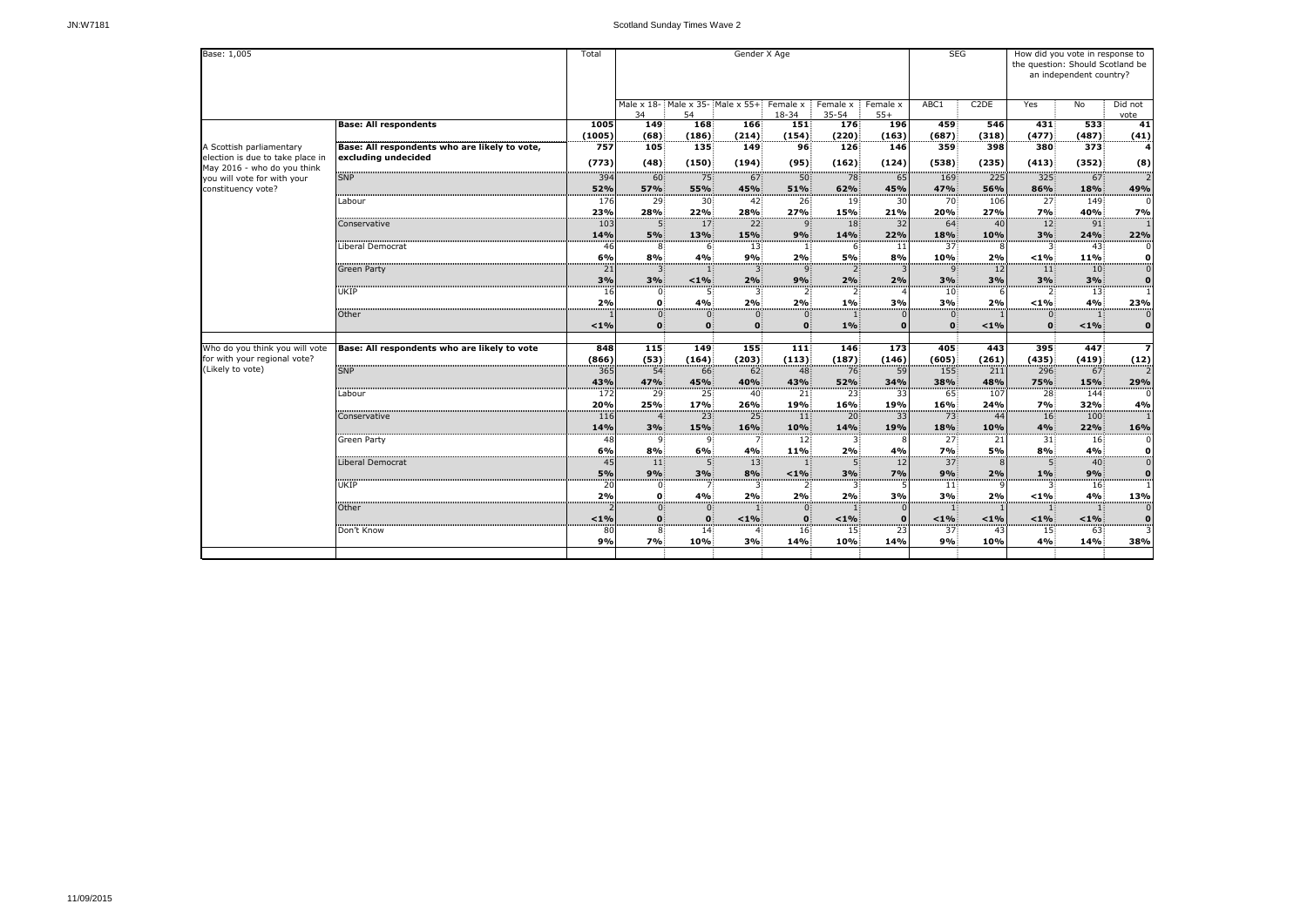| Base: 1,005                                                     |                                               |              |                                        |                              | Gender X Age         |                            |                         | <b>SEG</b>        |                       | How did you vote in response to<br>the question: Should Scotland be<br>an independent country? |                       |                  |                                             |
|-----------------------------------------------------------------|-----------------------------------------------|--------------|----------------------------------------|------------------------------|----------------------|----------------------------|-------------------------|-------------------|-----------------------|------------------------------------------------------------------------------------------------|-----------------------|------------------|---------------------------------------------|
|                                                                 |                                               |              | Male x 18- Male x 35- Male x 55+<br>34 | 54                           |                      | Female x<br>18-34          | Female x<br>$35 - 54$   | Female x<br>$55+$ | ABC1                  | C <sub>2</sub> DE                                                                              | Yes                   | No               | Did not                                     |
|                                                                 | <b>Base: All respondents</b>                  | 1005         | 149                                    | <b>168</b>                   | 166                  | 151                        | 176                     | <b>196</b>        | 459                   | 546                                                                                            | 431                   | 533              | vote<br>41                                  |
|                                                                 |                                               | (1005)       | (68)                                   | (186)                        | (214)                | (154)                      | (220)                   | (163)             | (687)                 | (318)                                                                                          | (477)                 | (487)            | (41)                                        |
| A Scottish parliamentary                                        | Base: All respondents who are likely to vote, | 757          | 105                                    | 135                          | 149                  | 96 <sup>2</sup>            | 126                     | 146               | 359                   | 398                                                                                            | 380                   | 373              | 4                                           |
| election is due to take place in<br>May 2016 - who do you think | excluding undecided                           | (773)        | (48)                                   | (150)                        | (194)                | (95)                       | (162)                   | (124)             | (538)                 | (235)                                                                                          | (413)                 | (352)            | (8)                                         |
| you will vote for with your                                     | <b>SNP</b>                                    | 394          | 60                                     | 75                           | 67                   | 50                         | 78                      | 65                | 169                   | 225                                                                                            | 325                   | 67               | $\overline{2}$                              |
| constituency vote?                                              |                                               | 52%          | 57%                                    | 55%                          | 45%                  | 51%                        | 62%                     | 45%               | 47%                   | 56%                                                                                            | 86%                   | 18%              | 49%                                         |
|                                                                 | Labour                                        | 176<br>23%   | 29<br>28%                              | 30 <sup>2</sup><br>22%       | 42<br>28%            | 26<br>27%                  | 19 <sup>3</sup><br>15%  | 30<br>21%         | 70<br><b>20%</b>      | 106<br>27%                                                                                     | 27<br>7%              | 149<br>40%       | 0<br>7%                                     |
|                                                                 | Conservative                                  | 103          | 5 <sub>1</sub>                         | 17 <sup>1</sup>              | 22 <sup>1</sup>      | 9                          | 18 <sup>3</sup>         | 32                | 64                    | 40                                                                                             | 12 <sup>1</sup>       | 91               | 1                                           |
|                                                                 |                                               | 14%          | 5%                                     | 13%                          | 15%                  | 9%                         | 14%                     | 22%               | 18%                   | 10%                                                                                            | 3%                    | 24%              | 22%                                         |
|                                                                 | Liberal Democrat                              | 46           | 8                                      | 6                            | 13                   |                            | 6                       | 11                | 37                    |                                                                                                | 3                     | 43               | 0                                           |
|                                                                 |                                               | 6%           | 8%                                     | 4%                           | 9%                   | 2%                         | 5%                      | 8%                | 10%                   | 2%                                                                                             | $< 1\%$               | 11%              | 0                                           |
|                                                                 | <b>Green Party</b>                            | 21           | 3                                      |                              | $\mathbf{3}$         | 9                          | $2^{\circ}$             |                   | 9                     | 12                                                                                             | 11                    | 10 <sub>i</sub>  | $\overline{0}$                              |
|                                                                 |                                               | 3%           | 3%                                     | $< 1\%$                      | 2%                   | 9%                         | 2%                      | 2%                | 3%                    | 3%                                                                                             | 3%                    | 3%               | $\bf{0}$                                    |
|                                                                 | UKIP                                          | 16           | $\mathbf{0}$                           |                              |                      |                            |                         |                   | 10 <sub>1</sub>       |                                                                                                | 2:                    | 13               | <br>1                                       |
|                                                                 |                                               | 2%           | $\mathbf{0}$                           | 4%                           | 2%                   | 2%                         | 1%                      | 3%                | 3%                    | 2%                                                                                             | $< 1\%$               | 4%               | 23%                                         |
|                                                                 | Other                                         | $< 1\%$      | $\mathbf{0}$<br>$\mathbf{0}$           | $\mathbf{0}$<br>$\mathbf{0}$ | 0                    | $\overline{0}$<br>$\Omega$ | $1\%$                   |                   | $\mathbf{0}$          | $< 1\%$                                                                                        | 0.                    | < 1%             | $\boldsymbol{0}$<br>$\bf{0}$                |
|                                                                 |                                               |              |                                        |                              |                      |                            |                         |                   |                       |                                                                                                |                       |                  |                                             |
| Who do you think you will vote<br>for with your regional vote?  | Base: All respondents who are likely to vote  | 848<br>(866) | 115<br>(53)                            | 149<br>(164)                 | 155<br>(203)         | 111<br>(113)               | 146<br>(187)            | 173<br>(146)      | 405<br>(605)          | 443<br>(261)                                                                                   | 395<br>(435)          | 447<br>(419)     | $\overline{\mathbf{z}}$<br>(12)             |
| (Likely to vote)                                                | <b>SNP</b>                                    | 365          | 54 <sub>5</sub>                        | 66                           | 62 <sub>1</sub>      | 48                         | 76                      | 59                | 155                   | 211                                                                                            | 296                   | 67               | $\overline{2}$                              |
|                                                                 |                                               | 43%          | 47%                                    | 45%                          | 40%                  | 43%                        | 52%                     | 34%               | 38%                   | 48%                                                                                            | 75%                   | 15%              | 29%                                         |
|                                                                 | Labour                                        | 172          | 29                                     | 25                           | 40                   | 21                         | 23                      | 33                | 65                    | 107                                                                                            | 28                    | 144              | 0                                           |
|                                                                 |                                               | 20%          | 25%                                    | 17%                          | 26%                  | 19%                        | <b>16%</b>              | 19%               | 16%                   | 24%                                                                                            | 7%                    | 32%              | 4%                                          |
|                                                                 | Conservative                                  | 116          | $\overline{4}$                         | 23                           | 25 <sub>1</sub>      | $ 11\rangle$               | 20 <sub>1</sub>         | 33                | 73                    | 44                                                                                             | 16 <sup>2</sup>       | 100              |                                             |
|                                                                 |                                               | 14%          | 3%<br>$\Omega$ .                       | 15%                          | 16%                  | 10%                        | 14%<br>3 <sup>2</sup>   | 19%               | 18%                   | 10%<br>21                                                                                      | 4%                    | 22%              | 16%<br>$\Omega$                             |
|                                                                 | Green Party                                   | 48<br>6%     | 8%                                     | 9.<br>6%                     | 7 <sup>1</sup><br>4% | 12 <sub>1</sub><br>11%     | 2%                      | 4%                | 27 <sup>2</sup><br>7% | <b>5%</b>                                                                                      | 31<br>8%              | 16<br>4%         | O                                           |
|                                                                 | Liberal Democrat                              | 45           | 11                                     | $\overline{5}$               | 13                   |                            | $5^{\circ}$             | 12                | 37 <sup>1</sup>       | 8I                                                                                             |                       | 40               | $\mathbf 0$                                 |
|                                                                 |                                               | 5%           | 9%                                     | 3%                           | 8%                   | $1\%$                      | 3%                      | 7%                | 9%                    | 2%                                                                                             | $1\%$                 | 9%               | $\bf{0}$                                    |
|                                                                 | UKIP                                          | 20           | $\mathbf{0}$                           | 7.                           | 3.                   | $\overline{2}$             | 3                       |                   | $\ket{11}$            |                                                                                                |                       | 16 <sup>2</sup>  | 1                                           |
|                                                                 |                                               | 2%           | $\mathbf{0}$                           | 4%                           | 2%                   | 2%                         | 2%                      | 3%                | 3%                    | 2%                                                                                             | $1\%$                 | 4%               | 13%                                         |
|                                                                 | <b>Other</b>                                  |              | $\mathbf{0}$                           | $\mathbf{0}$                 |                      | $\overline{0}$             | $\mathbf{1}$            |                   | $\vert 1 \vert$       |                                                                                                | $\vert 1 \vert$       |                  | $\mathbf 0$                                 |
|                                                                 |                                               | $< 1\%$      | $\mathbf{0}$                           | $\mathbf{0}$                 | $< 1\%$              | $\mathbf{0}$               | $< 1\%$                 |                   | $< 1\%$               | $< 1\%$                                                                                        | $< 1\%$               | $< 1\%$          | $\bf{0}$                                    |
|                                                                 | Don't Know                                    | 80<br>9%     | 8.<br>7%                               | 14 <sub>1</sub><br>10%       | 3%                   | 16<br><b>14%</b>           | 15 <sup>3</sup><br>10%: | 23<br>14%         | 37 <sup>1</sup><br>9% | -43<br>10%                                                                                     | 15 <sub>1</sub><br>4% | 63<br><b>14%</b> | $\overline{\overline{\overline{3}}}$<br>38% |
|                                                                 |                                               |              |                                        |                              |                      |                            |                         |                   |                       |                                                                                                |                       |                  |                                             |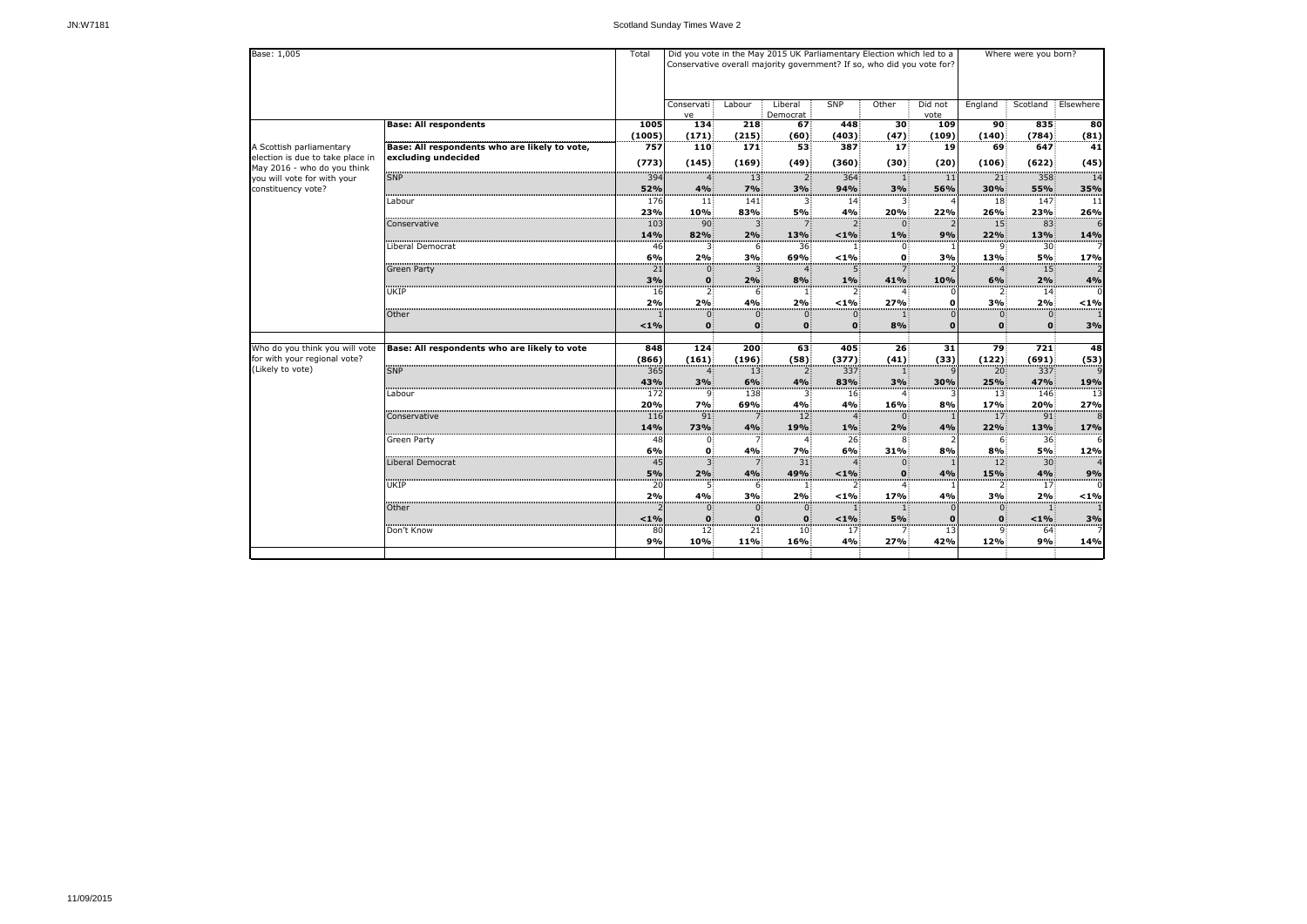| Base: 1,005                                                     |                                               | Total    | Did you vote in the May 2015 UK Parliamentary Election which led to a<br>Conservative overall majority government? If so, who did you vote for? |                     |                         | Where were you born?      |                 |                 |                                |                             |                 |
|-----------------------------------------------------------------|-----------------------------------------------|----------|-------------------------------------------------------------------------------------------------------------------------------------------------|---------------------|-------------------------|---------------------------|-----------------|-----------------|--------------------------------|-----------------------------|-----------------|
|                                                                 |                                               |          | Conservati<br>ve                                                                                                                                | Labour              | Liberal<br>Democrat     | <b>SNP</b>                | Other           | Did not<br>vote | England                        | Scotland                    | Elsewhere       |
|                                                                 | <b>Base: All respondents</b>                  | 1005     | 134                                                                                                                                             | 218                 | 67                      | 448                       | 30 <sup>2</sup> | 109             | 90                             | 835                         | $\overline{80}$ |
|                                                                 |                                               | (1005)   | (171)                                                                                                                                           | (215)               | (60)                    | (403)                     | (47)            | (109)           | (140)                          | (784)                       | (81)            |
| A Scottish parliamentary                                        | Base: All respondents who are likely to vote, | 757      | 110                                                                                                                                             | 171                 | 53                      | 387                       | 17 <sup>1</sup> | 19              | 69                             | 647                         | 41              |
| election is due to take place in<br>May 2016 - who do you think | excluding undecided                           | (773)    | (145)                                                                                                                                           | (169)               | (49)                    | (360)                     | (30)            | (20)            | (106)                          | (622)                       | (45)            |
| you will vote for with your                                     | <b>SNP</b>                                    | 394      | $\overline{4}$                                                                                                                                  | 13 <sup>2</sup>     | $\overline{2}$          | 364                       | 1:              | 11              | 21                             | 358                         | 14              |
| constituency vote?                                              |                                               | 52%      | 4%                                                                                                                                              | 7%                  | 3%                      | 94%                       | 3%              | 56%             | 30%                            | <b>55%</b>                  | 35%             |
|                                                                 | Labour                                        | 176      | 11                                                                                                                                              | 141                 | 3.                      | 14:                       |                 |                 | 18                             | 147                         | 11              |
|                                                                 |                                               | 23%      | 10%                                                                                                                                             | 83%                 | 5%                      | 4%                        | 20%             | 22%             | 26%                            | 23%                         | 26%             |
|                                                                 | Conservative                                  | 103      | 90                                                                                                                                              | 3                   | 7 <sup>1</sup>          | $2^{\frac{1}{2}}$         | 0               |                 | 15 <sup>1</sup>                | 83                          | 6               |
|                                                                 |                                               | 14%      | 82%                                                                                                                                             | 2%                  | 13%                     | $< 1\%$                   | $1\%$           | 9%              | 22%                            | 13%                         | <b>14%</b>      |
|                                                                 | Liberal Democrat                              | 46       | 3.                                                                                                                                              | 6.                  | 36                      |                           | 0               |                 | 9.                             | 30                          | 7               |
|                                                                 |                                               | 6%       | 2%                                                                                                                                              | 3%                  | 69%                     | $< 1\%$                   | $\mathbf{0}$    | 3%              | 13%                            | 5%                          | 17%             |
|                                                                 | <b>Green Party</b>                            | 21       | 0                                                                                                                                               | 3.                  | $\overline{4}$          | 5.                        | 7:              |                 | $\overline{4}$                 | 15                          | 2               |
|                                                                 |                                               | 3%       | $\mathbf{0}$                                                                                                                                    | 2%                  | 8%                      | 1%                        | 41%             | 10%             | 6%                             | 2%                          | 4%              |
|                                                                 | <b>UKIP</b>                                   | 16       | $2^{\circ}$                                                                                                                                     | 6                   | $\mathbf{1}$            | 2 <sup>1</sup>            |                 |                 | $2^{\circ}$                    | 14.                         |                 |
| Other                                                           |                                               | 2%       | 2%                                                                                                                                              | 4%                  | 2%                      | $< 1\%$                   | 27%             | o               | 3%                             | 2%                          | $< 1\%$         |
|                                                                 |                                               | $< 1\%$  | $0^{\circ}$<br>$\mathbf{0}$                                                                                                                     | $\overline{0}$<br>0 | $\Omega$<br>$\mathbf 0$ | $0^-$<br>$\mathbf{0}$     | 8%              | 0               | $\overline{0}$<br>$\mathbf{0}$ | $0^{\circ}$<br>$\mathbf{0}$ | 3%              |
|                                                                 |                                               |          |                                                                                                                                                 |                     |                         |                           |                 |                 |                                |                             |                 |
| Who do you think you will vote                                  | Base: All respondents who are likely to vote  | 848      | 124                                                                                                                                             | 200                 | 63                      | 405                       | 26 <sub>5</sub> | 31              | 79                             | 721                         | 48              |
| for with your regional vote?                                    |                                               | (866)    | (161)                                                                                                                                           | (196)               | (58)                    | (377)                     | (41)            | (33)            | (122)                          | (691)                       | (53)            |
| (Likely to vote)                                                | <b>SNP</b>                                    | 365      | $\overline{4}$                                                                                                                                  | 13 <sup>3</sup>     | $\mathbf{2}$            | 337                       | 11              |                 | 20                             | 337                         | 9               |
|                                                                 |                                               | 43%      | 3%                                                                                                                                              | 6%                  | 4%                      | 83%                       | 3%              | 30%             | 25%                            | 47%                         | 19%             |
|                                                                 | Labour                                        | 172      | 9.                                                                                                                                              | 138                 | 3.                      | 16 <sup>2</sup>           | $\overline{4}$  |                 | 13                             | 146                         | 13              |
|                                                                 |                                               | 20%      | 7%                                                                                                                                              | 69%                 | 4%                      | 4%                        | 16%             | 8%              | 17%                            | <b>20%</b>                  | 27%             |
|                                                                 | Conservative                                  | 116      | 91                                                                                                                                              | 7 <sup>1</sup>      | 12 <sup>1</sup>         | $\overline{4}$            | 0 <sup>1</sup>  |                 | 17 <sup>1</sup>                | 91                          | 8               |
|                                                                 |                                               | 14%      | 73%                                                                                                                                             | 4%                  | 19%                     | 1%                        | 2%              | 4%              | 22%                            | 13%                         | <b>17%</b>      |
|                                                                 | <b>Green Party</b>                            | 48       | $\mathbf{0}$                                                                                                                                    | 7 <sup>1</sup>      | $\overline{4}$          | 26 <sup>2</sup>           | 8 <sub>1</sub>  |                 | 6 <sup>1</sup>                 | 36 <sub>1</sub>             |                 |
|                                                                 |                                               | 6%       | $\mathbf{0}$                                                                                                                                    | 4%                  | 7%                      | 6%                        | 31%             | 8%              | 8%                             | 5%                          | 12%             |
|                                                                 | Liberal Democrat                              | 45       | $3^{\circ}$                                                                                                                                     | 7.                  | 31                      | 4 <sub>1</sub>            | $0^{\circ}$     |                 | 12 <sub>1</sub>                | 30 <sub>1</sub>             | 4               |
|                                                                 |                                               | 5%       | 2%                                                                                                                                              | 4%                  | 49%                     | $< 1\%$                   | $\mathbf{0}$    | 4%              | 15%                            | 4%                          | 9%              |
|                                                                 | <b>UKIP</b>                                   | 20<br>2% | $5 -$<br>4%                                                                                                                                     | 6.<br>3%            | $\mathbf{1}$ :<br>2%    | 2 <sub>1</sub><br>$< 1\%$ | 4.<br>17%       | 4%              | 2 <sub>1</sub><br>3%           | 17 <sup>2</sup><br>2%       | 0<br>$< 1\%$    |
|                                                                 | Other                                         |          | 0 <sup>1</sup>                                                                                                                                  | $\mathbf{0}$        | $\mathbf{0}$            | $\mathbf{1}$ :            | $\mathbf{1}$    |                 | $0^{\circ}$                    | $\mathbf{1}$                | $\mathbf{1}$    |
|                                                                 |                                               | $< 1\%$  | $\mathbf{0}$                                                                                                                                    | $\mathbf{0}$        | $\mathbf{0}$            | $< 1\%$                   | 5%              |                 | $\mathbf{0}$                   | $1\%$                       | 3%              |
|                                                                 | Don't Know                                    | 80       | 12 <sub>1</sub>                                                                                                                                 | 21                  | 10 <sup>1</sup>         | 17 <sup>°</sup>           | 7:              | 13              | 9.                             | 64                          | $\overline{7}$  |
|                                                                 |                                               | 9%       | 10%                                                                                                                                             | $11\%$              | 16%                     | 4%                        | 27%             | 42%             | 12%                            | 9%                          | 14%             |
|                                                                 |                                               |          |                                                                                                                                                 |                     |                         |                           |                 |                 |                                |                             |                 |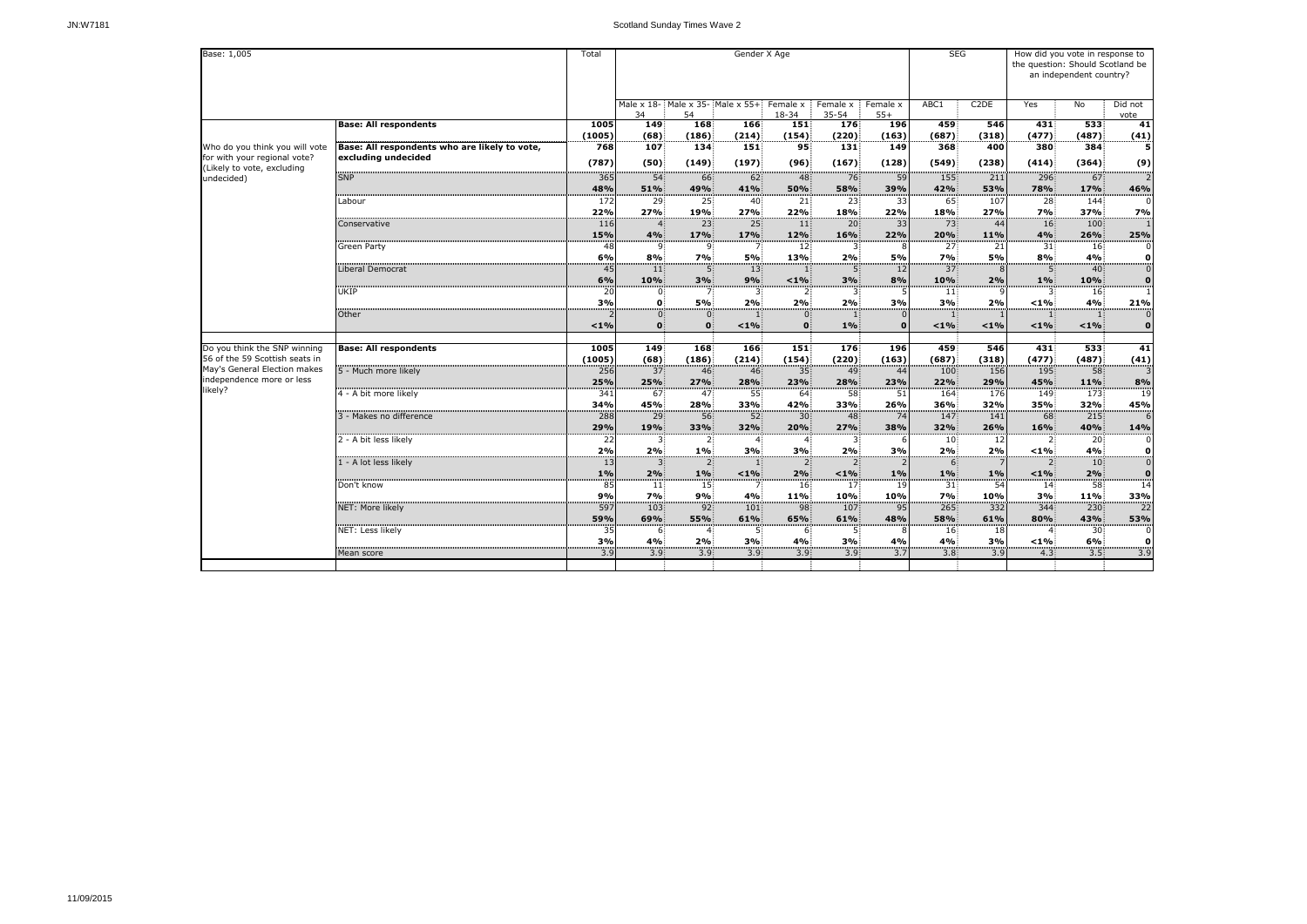| Base: 1,005                              |                                               |          |                                        | Gender X Age<br>Total    |                           |                       |                            |                   |                  |                   |                 | How did you vote in response to<br>the question: Should Scotland be<br>an independent country? |                                |  |  |
|------------------------------------------|-----------------------------------------------|----------|----------------------------------------|--------------------------|---------------------------|-----------------------|----------------------------|-------------------|------------------|-------------------|-----------------|------------------------------------------------------------------------------------------------|--------------------------------|--|--|
|                                          |                                               |          | Male x 18- Male x 35- Male x 55+<br>34 | 54                       |                           | Female x<br>18-34     | Female x<br>35-54          | Female x<br>$55+$ | ABC1             | C <sub>2</sub> DE | Yes             | No                                                                                             | Did not<br>vote                |  |  |
|                                          | <b>Base: All respondents</b>                  | 1005     | 149                                    | 168                      | 166                       | 151                   | 176                        | <b>196</b>        | 459              | 546               | 431             | 533                                                                                            | 41                             |  |  |
|                                          |                                               | (1005)   | (68)                                   | (186)                    | (214)                     | (154)                 | (220)                      | (163)             | (687)            | (318)             | (477)           | (487)                                                                                          | (41)                           |  |  |
| Who do you think you will vote           | Base: All respondents who are likely to vote, | 768      | 107                                    | 134                      | 151                       | 95                    | 131                        | 149               | 368              | 400               | 380             | 384                                                                                            | 5                              |  |  |
| for with your regional vote?             | excluding undecided                           | (787)    | (50)                                   | (149)                    | (197)                     | (96)                  | (167)                      | (128)             | (549)            | (238)             | (414)           | (364)                                                                                          | (9)                            |  |  |
| (Likely to vote, excluding<br>undecided) | <b>SNP</b>                                    | 365      | 54 <sup>3</sup>                        | 66                       | 62 <sup>3</sup>           | 48                    | 76                         | 59                | 155              | 211               | 296             | 67                                                                                             | ………<br>2                       |  |  |
|                                          |                                               | 48%      | 51%                                    | 49%                      | 41%                       | 50%                   | <b>58%</b>                 | 39%               | 42%              | 53%               | 78%             | 17%                                                                                            | 46%                            |  |  |
|                                          | Labour                                        | 172      | 29                                     | 25                       | 40                        | 21                    | 23                         | 33                | 65               | 107               | 28              | 144                                                                                            | $\mathbf 0$                    |  |  |
|                                          |                                               | 22%      | 27%                                    | 19%                      | 27%                       | 22%                   | 18%                        | 22%               | 18%              | 27%               | 7%              | 37%                                                                                            | 7%                             |  |  |
|                                          | Conservative                                  | 116      | $\overline{4}$                         | 23 <sup>3</sup>          | 25 <sup>1</sup>           | 11                    | $20^{\circ}$               | 33                | 73               | -44               | 16 <sup>1</sup> | 100                                                                                            |                                |  |  |
|                                          |                                               | 15%      | 4%                                     | 17%                      | 17%                       | 12%                   | 16%                        | 22%               | 20%              | 11%               | 4%              | 26%                                                                                            | 25%                            |  |  |
|                                          | <b>Green Party</b>                            | 48       | 9.                                     | 9.                       |                           | 12 <sub>i</sub>       | 3                          |                   | 27:              | -21               | 31              | 16                                                                                             | 0                              |  |  |
|                                          | Liberal Democrat                              | 6%       | 8%                                     | 7%<br>5 <sup>1</sup>     | 5%<br>13 <sup>3</sup>     | 13%                   | 2%<br>5.                   | 5%                | 7%<br>37         | <b>5%</b><br>8    | 8%              | 4%<br>40                                                                                       | 0<br>$\overline{\overline{0}}$ |  |  |
|                                          |                                               | 45<br>6% | 11<br>10%                              | 3%                       | 9%                        | < 1%                  | 3%                         | 12<br>8%          | 10%              | 2%                | 1%              | 10%                                                                                            | $\bf{0}$                       |  |  |
|                                          | UKIP                                          | 20       | 0                                      |                          |                           |                       |                            |                   | 11               |                   |                 | 16                                                                                             | $\mathbf{1}$                   |  |  |
|                                          |                                               | 3%       | $\mathbf{0}$                           | 5%                       | 2%                        | 2%                    | 2%                         | 3%                | 3%               | 2%                | $< 1\%$         | 4%                                                                                             | 21%                            |  |  |
|                                          | Other                                         |          | $\overline{0}$                         | $\mathbf{0}$             |                           | $\overline{0}$        |                            |                   |                  |                   |                 |                                                                                                | 0                              |  |  |
|                                          |                                               | $< 1\%$  | $\mathbf{0}$                           | $\mathbf{0}$             | $< 1\%$                   | $\mathbf{0}$          | $1\%$                      |                   | $< 1\%$          | $< 1\%$           | $< 1\%$         | < 1%                                                                                           | $\bf{0}$                       |  |  |
| Do you think the SNP winning             |                                               | 1005     | 149                                    | 168                      | 166                       | 151                   | 176                        | 196               | 459              | 546               | 431             | 533                                                                                            | 41                             |  |  |
| 56 of the 59 Scottish seats in           | <b>Base: All respondents</b>                  | (1005)   | (68)                                   | (186)                    | (214)                     | (154)                 | (220)                      | (163)             | (687)            | (318)             | (477)           | (487)                                                                                          |                                |  |  |
| May's General Election makes             | 5 - Much more likely                          | 256      | 37 <sup>3</sup>                        | 46                       | 46 <sup>3</sup>           | 35 <sup>2</sup>       | 49 <sup>1</sup>            | 44                | 100              | 156               | 195             | 58                                                                                             | $\frac{(41)}{3}$               |  |  |
| independence more or less                |                                               | 25%      | 25%                                    | 27%                      | 28%                       | 23%                   | 28%                        | 23%               | 22%              | 29%               | 45%             | 11%                                                                                            | 8%                             |  |  |
| likely?                                  | 4 - A bit more likely                         | 341      | 67                                     | 47                       | 55                        | 64                    | 58                         | 51                | 164              | 176               | 149             | 173                                                                                            | 19                             |  |  |
|                                          |                                               | 34%      | 45%                                    | 28%                      | 33%                       | 42%                   | 33%                        | 26%               | 36%              | 32%               | 35%             | 32%                                                                                            | 45%                            |  |  |
|                                          | 3 - Makes no difference                       | 288      | 29                                     | 56 <sub>5</sub>          | 52 <sup>2</sup>           | 30 <sub>1</sub>       | 48 <sup>3</sup>            | 74                | 147              | 141               | 68 <sup>3</sup> | 215                                                                                            | 6                              |  |  |
|                                          |                                               | 29%      | 19%                                    | <b>33%</b>               | 32%                       | 20%                   | 27%                        | 38%               | 32%              | 26%               | 16%             | 40%                                                                                            | 14%                            |  |  |
|                                          | 2 - A bit less likely                         | 22       | $\mathbf{r}$                           | 2 <sub>1</sub>           | $\mathbf{A}$ :            |                       | $\mathbf{P}$               |                   | 10 <sup>°</sup>  | 12                | $2^{\circ}$     | 20 <sub>1</sub>                                                                                |                                |  |  |
|                                          |                                               | 2%       | 2%                                     | $1\%$                    | 3%                        | 3%                    | 2%                         | 3%                | 2%               | 2%                | $< 1\%$         | 4%                                                                                             | O<br><br>0                     |  |  |
|                                          | 1 - A lot less likely                         | 13       | $3^{\circ}$                            | 2 <sub>1</sub>           | -11                       | $\overline{2}$        | $2^{\circ}$                |                   | 6.               |                   | 2.              | 10 <sub>1</sub>                                                                                |                                |  |  |
|                                          | Don't know                                    | 1%<br>85 | 2%<br>11                               | $1\%$<br>15 <sup>°</sup> | $< 1\%$<br>$\overline{7}$ | 2%<br>16 <sup>2</sup> | $< 1\%$<br>17 <sup>°</sup> | $1\%$<br>19       | $1\%$<br>31      | 1%<br>54          | $1\%$<br>14     | 2%<br>58                                                                                       | $\bf{0}$<br>14                 |  |  |
|                                          |                                               | 9%       | 7%                                     | 9%                       | 4%                        | 11%                   | 10%                        | 10%               | 7%               | 10%               | 3%              | 11%                                                                                            | 33%                            |  |  |
|                                          | NET: More likely                              | 597      | 103                                    | 92                       | 101                       | 98                    | 107                        | 95                | 265              | 332               | 344             | 230                                                                                            | 22                             |  |  |
|                                          |                                               | 59%      | 69%                                    | <b>55%</b>               | 61%                       | 65%                   | 61%                        | 48%               | <b>58%</b>       | 61%               | 80%             | 43%                                                                                            | 53%                            |  |  |
|                                          | NET: Less likely                              | 35       | 6                                      |                          |                           | -6                    | 5 <sub>1</sub>             |                   | 16 <sub>1</sub>  | 18                |                 | 30 <sub>1</sub>                                                                                | $\boldsymbol{0}$               |  |  |
|                                          |                                               | 3%       | 4%                                     | 2%                       | 3%                        | 4%                    | 3%                         | 4%                | 4%               | 3%                | $< 1\%$         | 6%                                                                                             | $\mathbf 0$                    |  |  |
|                                          | Mean score                                    | 3.9      | 3.9 <sup>1</sup>                       | 3.9 <sup>1</sup>         | 3.9 <sup>1</sup>          | 3.9 <sub>1</sub>      | 3.9 <sup>1</sup>           | 3.7               | 3.8 <sup>1</sup> | 3.9               | 4.3             | 3.5 <sub>1</sub>                                                                               | 3.9                            |  |  |
|                                          |                                               |          |                                        |                          |                           |                       |                            |                   |                  |                   |                 |                                                                                                |                                |  |  |